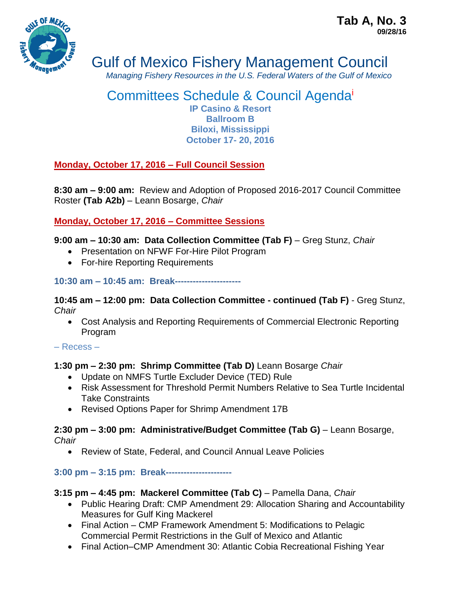

# Gulf of Mexico Fishery Management Council

*Managing Fishery Resources in the U.S. Federal Waters of the Gulf of Mexico*

## Committees Schedule & Council Agenda<sup>i</sup> **IP Casino & Resort Ballroom B Biloxi, Mississippi October 17- 20, 2016**

# **Monday, October 17, 2016 – Full Council Session**

**8:30 am – 9:00 am:** Review and Adoption of Proposed 2016-2017 Council Committee Roster **(Tab A2b)** *–* Leann Bosarge, *Chair*

**Monday, October 17, 2016 – Committee Sessions**

## **9:00 am – 10:30 am: Data Collection Committee (Tab F)** *–* Greg Stunz, *Chair*

- Presentation on NFWF For-Hire Pilot Program
- For-hire Reporting Requirements

## **10:30 am – 10:45 am: Break----------------------**

**10:45 am – 12:00 pm: Data Collection Committee - continued (Tab F)** - Greg Stunz, *Chair*

 Cost Analysis and Reporting Requirements of Commercial Electronic Reporting Program

## – Recess –

## **1:30 pm – 2:30 pm: Shrimp Committee (Tab D)** Leann Bosarge *Chair*

- Update on NMFS Turtle Excluder Device (TED) Rule
- Risk Assessment for Threshold Permit Numbers Relative to Sea Turtle Incidental Take Constraints
- Revised Options Paper for Shrimp Amendment 17B

#### **2:30 pm – 3:00 pm: Administrative/Budget Committee (Tab G)** *–* Leann Bosarge, *Chair*

- - Review of State, Federal, and Council Annual Leave Policies

# **3:00 pm – 3:15 pm: Break----------------------**

# **3:15 pm – 4:45 pm: Mackerel Committee (Tab C)** – Pamella Dana, *Chair*

- Public Hearing Draft: CMP Amendment 29: Allocation Sharing and Accountability Measures for Gulf King Mackerel
- Final Action CMP Framework Amendment 5: Modifications to Pelagic Commercial Permit Restrictions in the Gulf of Mexico and Atlantic
- Final Action–CMP Amendment 30: Atlantic Cobia Recreational Fishing Year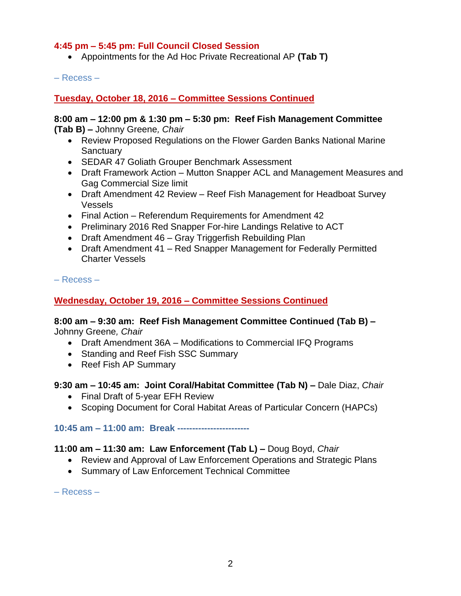## **4:45 pm – 5:45 pm: Full Council Closed Session**

Appointments for the Ad Hoc Private Recreational AP **(Tab T)**

– Recess –

#### **Tuesday, October 18, 2016 – Committee Sessions Continued**

# **8:00 am – 12:00 pm & 1:30 pm – 5:30 pm: Reef Fish Management Committee**

**(Tab B)** *–* Johnny Greene*, Chair*

- Review Proposed Regulations on the Flower Garden Banks National Marine **Sanctuary**
- SEDAR 47 Goliath Grouper Benchmark Assessment
- Draft Framework Action Mutton Snapper ACL and Management Measures and Gag Commercial Size limit
- Draft Amendment 42 Review Reef Fish Management for Headboat Survey Vessels
- Final Action Referendum Requirements for Amendment 42
- Preliminary 2016 Red Snapper For-hire Landings Relative to ACT
- Draft Amendment 46 Gray Triggerfish Rebuilding Plan
- Draft Amendment 41 Red Snapper Management for Federally Permitted Charter Vessels

– Recess –

## **Wednesday, October 19, 2016 – Committee Sessions Continued**

#### **8:00 am – 9:30 am: Reef Fish Management Committee Continued (Tab B)** *–* Johnny Greene*, Chair*

- Draft Amendment 36A Modifications to Commercial IFQ Programs
- Standing and Reef Fish SSC Summary
- Reef Fish AP Summary

#### **9:30 am – 10:45 am: Joint Coral/Habitat Committee (Tab N) –** Dale Diaz, *Chair*

- Final Draft of 5-year EFH Review
- Scoping Document for Coral Habitat Areas of Particular Concern (HAPCs)

**10:45 am – 11:00 am: Break ------------------------**

#### **11:00 am – 11:30 am: Law Enforcement (Tab L) –** Doug Boyd, *Chair*

- Review and Approval of Law Enforcement Operations and Strategic Plans
- Summary of Law Enforcement Technical Committee

– Recess –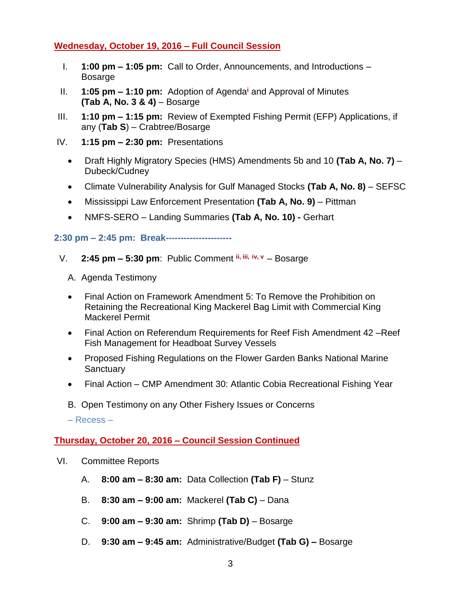#### **Wednesday, October 19, 2016 – Full Council Session**

- I. **1:00 pm – 1:05 pm:** Call to Order, Announcements, and Introductions Bosarge
- II. **1:05 pm – 1:10 pm:** Adoption of Agenda**<sup>i</sup>** and Approval of Minutes **(Tab A, No. 3 & 4)** – Bosarge
- III. **1:10 pm – 1:15 pm:** Review of Exempted Fishing Permit (EFP) Applications, if any (**Tab S**) – Crabtree/Bosarge
- IV. **1:15 pm – 2:30 pm:** Presentations
	- Draft Highly Migratory Species (HMS) Amendments 5b and 10 **(Tab A, No. 7)** Dubeck/Cudney
	- Climate Vulnerability Analysis for Gulf Managed Stocks **(Tab A, No. 8)**  SEFSC
	- Mississippi Law Enforcement Presentation **(Tab A, No. 9)** Pittman
	- NMFS-SERO Landing Summaries **(Tab A, No. 10) -** Gerhart

#### **2:30 pm – 2:45 pm: Break----------------------**

- V. **2:45 pm – 5:30 pm**: Public Comment **ii, iii, iv, v**  Bosarge
	- A. Agenda Testimony
	- Final Action on Framework Amendment 5: To Remove the Prohibition on Retaining the Recreational King Mackerel Bag Limit with Commercial King Mackerel Permit
	- Final Action on Referendum Requirements for Reef Fish Amendment 42 –Reef Fish Management for Headboat Survey Vessels
	- Proposed Fishing Regulations on the Flower Garden Banks National Marine **Sanctuary**
	- Final Action CMP Amendment 30: Atlantic Cobia Recreational Fishing Year
	- B. Open Testimony on any Other Fishery Issues or Concerns

– Recess –

#### **Thursday, October 20, 2016 – Council Session Continued**

- VI. Committee Reports
	- A. **8:00 am – 8:30 am:** Data Collection **(Tab F)**  Stunz
	- B. **8:30 am – 9:00 am:** Mackerel **(Tab C)**  Dana
	- C. **9:00 am – 9:30 am:** Shrimp **(Tab D)**  Bosarge
	- D. **9:30 am – 9:45 am:** Administrative/Budget **(Tab G)** *–* Bosarge